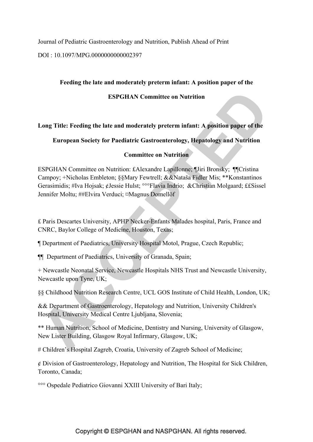Journal of Pediatric Gastroenterology and Nutrition, Publish Ahead of Print

DOI : 10.1097/MPG.0000000000002397

### **Feeding the late and moderately preterm infant: A position paper of the**

#### **ESPGHAN Committee on Nutrition**

### **Long Title: Feeding the late and moderately preterm infant: A position paper of the**

### **European Society for Paediatric Gastroenterology, Hepatology and Nutrition**

#### **Committee on Nutrition**

ESPGHAN Committee on Nutrition: £Alexandre Lapillonne; ¶Jiri Bronsky; ¶¶Cristina Campoy; +Nicholas Embleton; §§Mary Fewtrell; &&Nataša Fidler Mis; \*\*Konstantinos Gerasimidis; #Iva Hojsak; ¢Jessie Hulst; °°°Flavia Indrio; &Christian Molgaard; ££Sissel Jennifer Moltu; ##Elvira Verduci; ¤Magnus Domellöf

£ Paris Descartes University, APHP Necker-Enfants Malades hospital, Paris, France and CNRC, Baylor College of Medicine, Houston, Texas;

¶ Department of Paediatrics, University Hospital Motol, Prague, Czech Republic;

¶¶ Department of Paediatrics, University of Granada, Spain;

+ Newcastle Neonatal Service, Newcastle Hospitals NHS Trust and Newcastle University, Newcastle upon Tyne, UK;

§§ Childhood Nutrition Research Centre, UCL GOS Institute of Child Health, London, UK;

&& Department of Gastroenterology, Hepatology and Nutrition, University Children's Hospital, University Medical Centre Ljubljana, Slovenia;

\*\* Human Nutrition, School of Medicine, Dentistry and Nursing, University of Glasgow, New Lister Building, Glasgow Royal Infirmary, Glasgow, UK;

# Children's Hospital Zagreb, Croatia, University of Zagreb School of Medicine;

¢ Division of Gastroenterology, Hepatology and Nutrition, The Hospital for Sick Children, Toronto, Canada;

°°° Ospedale Pediatrico Giovanni XXIII University of Bari Italy;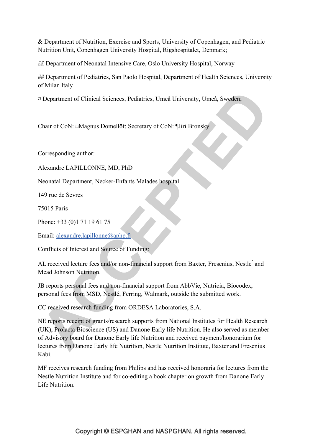& Department of Nutrition, Exercise and Sports, University of Copenhagen, and Pediatric Nutrition Unit, Copenhagen University Hospital, Rigshospitalet, Denmark;

££ Department of Neonatal Intensive Care, Oslo University Hospital, Norway

## Department of Pediatrics, San Paolo Hospital, Department of Health Sciences, University of Milan Italy

¤ Department of Clinical Sciences, Pediatrics, Umeå University, Umeå, Sweden;

Chair of CoN: ¤Magnus Domellöf; Secretary of CoN: ¶Jiri Bronsky

Corresponding author:

Alexandre LAPILLONNE, MD, PhD

Neonatal Department, Necker-Enfants Malades hospital

149 rue de Sevres

75015 Paris

Phone: +33 (0)1 71 19 61 75

Email: alexandre.lapillonne@aphp.fr

Conflicts of Interest and Source of Funding:

AL received lecture fees and/or non-financial support from Baxter, Fresenius, Nestle' and Mead Johnson Nutrition.

JB reports personal fees and non-financial support from AbbVie, Nutricia, Biocodex, personal fees from MSD, Nestlé, Ferring, Walmark, outside the submitted work.

CC received research funding from ORDESA Laboratories, S.A.

NE reports receipt of grants/research supports from National Institutes for Health Research (UK), Prolacta Bioscience (US) and Danone Early life Nutrition. He also served as member of Advisory board for Danone Early life Nutrition and received payment/honorarium for lectures from Danone Early life Nutrition, Nestle Nutrition Institute, Baxter and Fresenius Kabi.

MF receives research funding from Philips and has received honoraria for lectures from the Nestle Nutrition Institute and for co-editing a book chapter on growth from Danone Early Life Nutrition.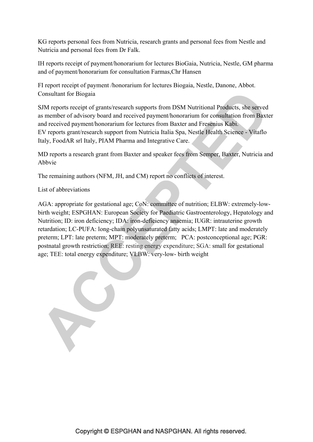KG reports personal fees from Nutricia, research grants and personal fees from Nestle and Nutricia and personal fees from Dr Falk.

IH reports receipt of payment/honorarium for lectures BioGaia, Nutricia, Nestle, GM pharma and of payment/honorarium for consultation Farmas,Chr Hansen

FI report receipt of payment /honorarium for lectures Biogaia, Nestle, Danone, Abbot. Consultant for Biogaia

SJM reports receipt of grants/research supports from DSM Nutritional Products, she served as member of advisory board and received payment/honorarium for consultation from Baxter and received payment/honorarium for lectures from Baxter and Fresenius Kabi. EV reports grant/research support from Nutricia Italia Spa, Nestle Health Science - Vitaflo Italy, FoodAR srl Italy, PIAM Pharma and Integrative Care.

MD reports a research grant from Baxter and speaker fees from Semper, Baxter, Nutricia and Abbvie

The remaining authors (NFM, JH, and CM) report no conflicts of interest.

List of abbreviations

AGA: appropriate for gestational age; CoN: committee of nutrition; ELBW: extremely-lowbirth weight; ESPGHAN: European Society for Paediatric Gastroenterology, Hepatology and Nutrition; ID: iron deficiency; IDA: iron-deficiency anaemia; IUGR: intrauterine growth retardation; LC-PUFA: long-chain polyunsaturated fatty acids; LMPT: late and moderately preterm; LPT: late preterm; MPT: moderately preterm; PCA: postconceptional age; PGR: postnatal growth restriction; REE: resting energy expenditure; SGA: small for gestational age; TEE: total energy expenditure; VLBW: very-low- birth weight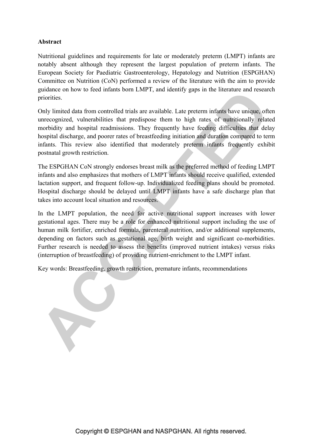### **Abstract**

Nutritional guidelines and requirements for late or moderately preterm (LMPT) infants are notably absent although they represent the largest population of preterm infants. The European Society for Paediatric Gastroenterology, Hepatology and Nutrition (ESPGHAN) Committee on Nutrition (CoN) performed a review of the literature with the aim to provide guidance on how to feed infants born LMPT, and identify gaps in the literature and research priorities.

Only limited data from controlled trials are available. Late preterm infants have unique, often unrecognized, vulnerabilities that predispose them to high rates of nutritionally related morbidity and hospital readmissions. They frequently have feeding difficulties that delay hospital discharge, and poorer rates of breastfeeding initiation and duration compared to term infants. This review also identified that moderately preterm infants frequently exhibit postnatal growth restriction.

The ESPGHAN CoN strongly endorses breast milk as the preferred method of feeding LMPT infants and also emphasizes that mothers of LMPT infants should receive qualified, extended lactation support, and frequent follow-up. Individualized feeding plans should be promoted. Hospital discharge should be delayed until LMPT infants have a safe discharge plan that takes into account local situation and resources.

In the LMPT population, the need for active nutritional support increases with lower gestational ages. There may be a role for enhanced nutritional support including the use of human milk fortifier, enriched formula, parenteral nutrition, and/or additional supplements, depending on factors such as gestational age, birth weight and significant co-morbidities. Further research is needed to assess the benefits (improved nutrient intakes) versus risks (interruption of breastfeeding) of providing nutrient-enrichment to the LMPT infant.

Key words: Breastfeeding, growth restriction, premature infants, recommendations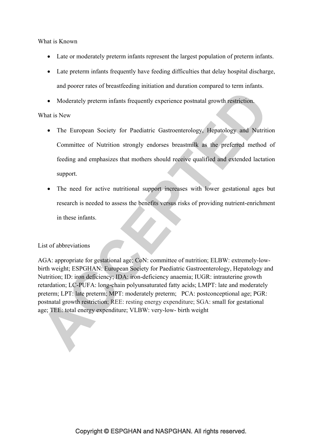What is Known

- Late or moderately preterm infants represent the largest population of preterm infants.
- Late preterm infants frequently have feeding difficulties that delay hospital discharge, and poorer rates of breastfeeding initiation and duration compared to term infants.
- Moderately preterm infants frequently experience postnatal growth restriction.

#### What is New

- The European Society for Paediatric Gastroenterology, Hepatology and Nutrition Committee of Nutrition strongly endorses breastmilk as the preferred method of feeding and emphasizes that mothers should receive qualified and extended lactation support.
- The need for active nutritional support increases with lower gestational ages but research is needed to assess the benefits versus risks of providing nutrient-enrichment in these infants.

#### List of abbreviations

AGA: appropriate for gestational age; CoN: committee of nutrition; ELBW: extremely-lowbirth weight; ESPGHAN: European Society for Paediatric Gastroenterology, Hepatology and Nutrition; ID: iron deficiency; IDA: iron-deficiency anaemia; IUGR: intrauterine growth retardation; LC-PUFA: long-chain polyunsaturated fatty acids; LMPT: late and moderately preterm; LPT: late preterm; MPT: moderately preterm; PCA: postconceptional age; PGR: postnatal growth restriction; REE: resting energy expenditure; SGA: small for gestational age; TEE: total energy expenditure; VLBW: very-low- birth weight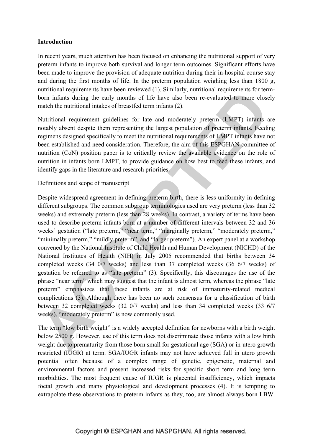#### **Introduction**

In recent years, much attention has been focused on enhancing the nutritional support of very preterm infants to improve both survival and longer term outcomes. Significant efforts have been made to improve the provision of adequate nutrition during their in-hospital course stay and during the first months of life. In the preterm population weighing less than 1800 g, nutritional requirements have been reviewed (1). Similarly, nutritional requirements for termborn infants during the early months of life have also been re-evaluated to more closely match the nutritional intakes of breastfed term infants (2).

Nutritional requirement guidelines for late and moderately preterm (LMPT) infants are notably absent despite them representing the largest population of preterm infants. Feeding regimens designed specifically to meet the nutritional requirements of LMPT infants have not been established and need consideration. Therefore, the aim of this ESPGHAN committee of nutrition (CoN) position paper is to critically review the available evidence on the role of nutrition in infants born LMPT, to provide guidance on how best to feed these infants, and identify gaps in the literature and research priorities.

Definitions and scope of manuscript

Despite widespread agreement in defining preterm birth, there is less uniformity in defining different subgroups. The common subgroup terminologies used are very preterm (less than 32 weeks) and extremely preterm (less than 28 weeks). In contrast, a variety of terms have been used to describe preterm infants born at a number of different intervals between 32 and 36 weeks' gestation ("late preterm," "near term," "marginally preterm," "moderately preterm," "minimally preterm," "mildly preterm", and "larger preterm"). An expert panel at a workshop convened by the National Institute of Child Health and Human Development (NICHD) of the National Institutes of Health (NIH) in July 2005 recommended that births between 34 completed weeks (34 0/7 weeks) and less than 37 completed weeks (36 6/7 weeks) of gestation be referred to as "late preterm" (3). Specifically, this discourages the use of the phrase "near term" which may suggest that the infant is almost term, whereas the phrase "late preterm" emphasizes that these infants are at risk of immaturity-related medical complications (3). Although there has been no such consensus for a classification of birth between 32 completed weeks (32 0/7 weeks) and less than 34 completed weeks (33 6/7 weeks), "moderately preterm" is now commonly used.

The term "low birth weight" is a widely accepted definition for newborns with a birth weight below 2500 g. However, use of this term does not discriminate those infants with a low birth weight due to prematurity from those born small for gestational age (SGA) or in-utero growth restricted (IUGR) at term. SGA/IUGR infants may not have achieved full in utero growth potential often because of a complex range of genetic, epigenetic, maternal and environmental factors and present increased risks for specific short term and long term morbidities. The most frequent cause of IUGR is placental insufficiency, which impacts foetal growth and many physiological and development processes (4). It is tempting to extrapolate these observations to preterm infants as they, too, are almost always born LBW.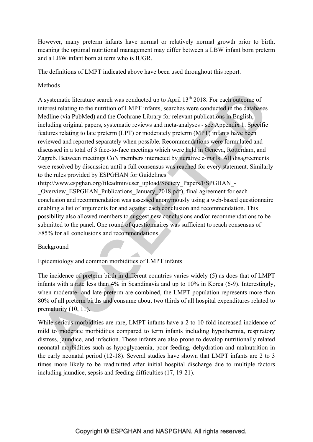However, many preterm infants have normal or relatively normal growth prior to birth, meaning the optimal nutritional management may differ between a LBW infant born preterm and a LBW infant born at term who is IUGR.

The definitions of LMPT indicated above have been used throughout this report.

### Methods

A systematic literature search was conducted up to April  $13<sup>th</sup> 2018$ . For each outcome of interest relating to the nutrition of LMPT infants, searches were conducted in the databases Medline (via PubMed) and the Cochrane Library for relevant publications in English, including original papers, systematic reviews and meta-analyses - see Appendix 1. Specific features relating to late preterm (LPT) or moderately preterm (MPT) infants have been reviewed and reported separately when possible. Recommendations were formulated and discussed in a total of 3 face-to-face meetings which were held in Geneva, Rotterdam, and Zagreb. Between meetings CoN members interacted by iterative e-mails. All disagreements were resolved by discussion until a full consensus was reached for every statement. Similarly to the rules provided by ESPGHAN for Guidelines

(http://www.espghan.org/fileadmin/user\_upload/Society\_Papers/ESPGHAN\_- \_Overview\_ESPGHAN\_Publications\_January\_2018.pdf), final agreement for each conclusion and recommendation was assessed anonymously using a web-based questionnaire enabling a list of arguments for and against each conclusion and recommendation. This possibility also allowed members to suggest new conclusions and/or recommendations to be submitted to the panel. One round of questionnaires was sufficient to reach consensus of >85% for all conclusions and recommendations.

Background

## Epidemiology and common morbidities of LMPT infants

The incidence of preterm birth in different countries varies widely (5) as does that of LMPT infants with a rate less than 4% in Scandinavia and up to 10% in Korea (6-9). Interestingly, when moderate- and late-preterm are combined, the LMPT population represents more than 80% of all preterm births and consume about two thirds of all hospital expenditures related to prematurity (10, 11).

While serious morbidities are rare, LMPT infants have a 2 to 10 fold increased incidence of mild to moderate morbidities compared to term infants including hypothermia, respiratory distress, jaundice, and infection. These infants are also prone to develop nutritionally related neonatal morbidities such as hypoglycaemia, poor feeding, dehydration and malnutrition in the early neonatal period (12-18). Several studies have shown that LMPT infants are 2 to 3 times more likely to be readmitted after initial hospital discharge due to multiple factors including jaundice, sepsis and feeding difficulties (17, 19-21).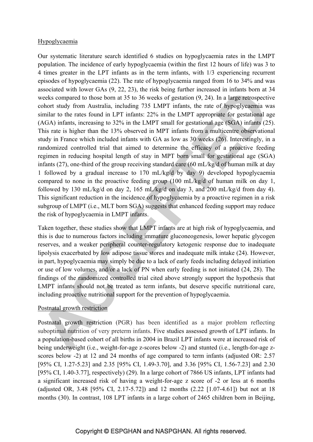### Hypoglycaemia

Our systematic literature search identified 6 studies on hypoglycaemia rates in the LMPT population. The incidence of early hypoglycaemia (within the first 12 hours of life) was 3 to 4 times greater in the LPT infants as in the term infants, with 1/3 experiencing recurrent episodes of hypoglycaemia (22). The rate of hypoglycaemia ranged from 16 to 34% and was associated with lower GAs (9, 22, 23), the risk being further increased in infants born at 34 weeks compared to those born at 35 to 36 weeks of gestation (9, 24). In a large retrospective cohort study from Australia, including 735 LMPT infants, the rate of hypoglycaemia was similar to the rates found in LPT infants: 22% in the LMPT appropriate for gestational age (AGA) infants, increasing to 32% in the LMPT small for gestational age (SGA) infants (25). This rate is higher than the 13% observed in MPT infants from a multicentre observational study in France which included infants with GA as low as 30 weeks (26). Interestingly, in a randomized controlled trial that aimed to determine the efficacy of a proactive feeding regimen in reducing hospital length of stay in MPT born small for gestational age (SGA) infants (27), one-third of the group receiving standard care (60 mL/kg/d of human milk at day 1 followed by a gradual increase to 170 mL/kg/d by day 9) developed hypoglycaemia compared to none in the proactive feeding group (100 mL/kg/d of human milk on day 1, followed by 130 mL/kg/d on day 2, 165 mL/kg/d on day 3, and 200 mL/kg/d from day 4). This significant reduction in the incidence of hypoglycaemia by a proactive regimen in a risk subgroup of LMPT (i.e., MLT born SGA) suggests that enhanced feeding support may reduce the risk of hypoglycaemia in LMPT infants.

Taken together, these studies show that LMPT infants are at high risk of hypoglycaemia, and this is due to numerous factors including immature gluconeogenesis, lower hepatic glycogen reserves, and a weaker peripheral counter-regulatory ketogenic response due to inadequate lipolysis exacerbated by low adipose tissue stores and inadequate milk intake (24). However, in part, hypoglycaemia may simply be due to a lack of early feeds including delayed initiation or use of low volumes, and/or a lack of PN when early feeding is not initiated (24, 28). The findings of the randomized controlled trial cited above strongly support the hypothesis that LMPT infants should not be treated as term infants, but deserve specific nutritional care, including proactive nutritional support for the prevention of hypoglycaemia.

### Postnatal growth restriction

Postnatal growth restriction (PGR) has been identified as a major problem reflecting suboptimal nutrition of very preterm infants. Five studies assessed growth of LPT infants. In a population-based cohort of all births in 2004 in Brazil LPT infants were at increased risk of being underweight (i.e., weight-for-age z-scores below -2) and stunted (i.e., length-for-age zscores below -2) at 12 and 24 months of age compared to term infants (adjusted OR: 2.57 [95% CI, 1.27-5.23] and 2.35 [95% CI, 1.49-3.70], and 3.36 [95% CI, 1.56-7.23] and 2.30 [95% CI, 1.40-3.77], respectively) (29). In a large cohort of 7866 US infants, LPT infants had a significant increased risk of having a weight-for-age z score of -2 or less at 6 months (adjusted OR, 3.48 [95% CI, 2.17-5.72]) and 12 months (2.22 [1.07-4.61]) but not at 18 months (30). In contrast, 108 LPT infants in a large cohort of 2465 children born in Beijing,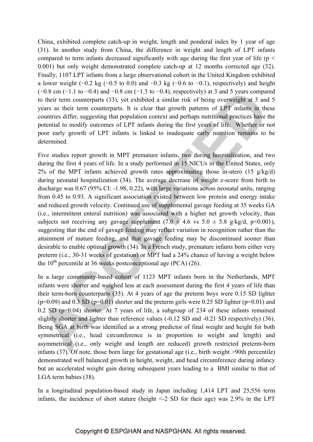China, exhibited complete catch-up in weight, length and ponderal index by 1 year of age (31). In another study from China, the difference in weight and length of LPT infants compared to term infants decreased significantly with age during the first year of life ( $p <$ 0.001) but only weight demonstrated complete catch-up at 12 months corrected age (32). Finally, 1107 LPT infants from a large observational cohort in the United Kingdom exhibited a lower weight (−0.2 kg (−0.5 to 0.0) and −0.3 kg (−0.6 to −0.1), respectively) and height  $(-0.8 \text{ cm } (-1.1 \text{ to } -0.4) \text{ and } -0.8 \text{ cm } (-1.3 \text{ to } -0.4)$ , respectively) at 3 and 5 years compared to their term counterparts (33), yet exhibited a similar risk of being overweight at 3 and 5 years as their term counterparts. It is clear that growth patterns of LPT infants in these countries differ, suggesting that population context and perhaps nutritional practices have the potential to modify outcomes of LPT infants during the first years of life. Whether or not poor early growth of LPT infants is linked to inadequate early nutrition remains to be determined.

Five studies report growth in MPT premature infants, two during hospitalization, and two during the first 4 years of life. In a study performed in 15 NICUs in the United States, only  $2\%$  of the MPT infants achieved growth rates approximating those in-utero (15 g/kg/d) during neonatal hospitalization (34). The average decrease of weight z-score from birth to discharge was 0.67 (95% CI: -1.98, 0.22), with large variations across neonatal units, ranging from 0.45 to 0.93. A significant association existed between low protein and energy intake and reduced growth velocity. Continued use of supplemental gavage feeding at 35 weeks GA (i.e., intermittent enteral nutrition) was associated with a higher net growth velocity, than subjects not receiving any gavage supplement  $(7.0 \pm 4.6 \text{ vs } 5.0 \pm 5.8 \text{ g/kg/d}, \text{ p} < 0.001)$ , suggesting that the end of gavage feeding may reflect variation in recognition rather than the attainment of mature feeding, and that gavage feeding may be discontinued sooner than desirable to enable optimal growth (34). In a French study, premature infants born either very preterm (i.e., 30-31 weeks of gestation) or MPT had a 24% chance of having a weight below the  $10^{th}$  percentile at 36 weeks postconceptional age (PCA) (26).

In a large community-based cohort of 1123 MPT infants born in the Netherlands, MPT infants were shorter and weighed less at each assessment during the first 4 years of life than their term-born counterparts (35). At 4 years of age the preterm boys were 0.15 SD lighter  $(p=0.09)$  and 0.3 SD  $(p=0.01)$  shorter and the preterm girls were 0.25 SD lighter  $(p=0.01)$  and 0.2 SD (p=0.04) shorter. At 7 years of life, a subgroup of 234 of these infants remained slightly shorter and lighter than reference values (-0.12 SD and -0.21 SD respectively) (36). Being SGA at birth was identified as a strong predictor of final weight and height for both symmetrical (i.e., head circumference is in proportion to weight and length) and asymmetrical (i.e., only weight and length are reduced) growth restricted preterm-born infants (37). Of note, those born large for gestational age (i.e., birth weight >90th percentile) demonstrated well balanced growth in height, weight, and head circumference during infancy but an accelerated weight gain during subsequent years leading to a BMI similar to that of LGA term babies (38).

In a longitudinal population-based study in Japan including 1,414 LPT and 25,556 term infants, the incidence of short stature (height <-2 SD for their age) was 2.9% in the LPT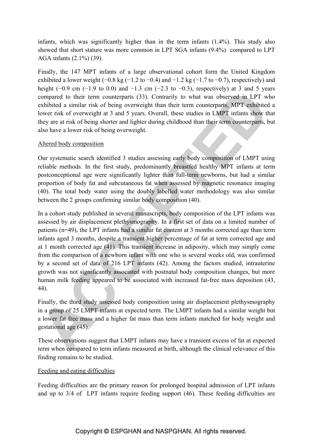infants, which was significantly higher than in the term infants (1.4%). This study also showed that short stature was more common in LPT SGA infants (9.4%) compared to LPT AGA infants (2.1%) (39).

Finally, the 147 MPT infants of a large observational cohort form the United Kingdom exhibited a lower weight  $(-0.8 \text{ kg } (-1.2 \text{ to } -0.4)$  and  $-1.2 \text{ kg } (-1.7 \text{ to } -0.7)$ , respectively) and height ( $-0.9$  cm ( $-1.9$  to 0.0) and  $-1.3$  cm ( $-2.3$  to  $-0.3$ ), respectively) at 3 and 5 years compared to their term counterparts (33). Contrarily to what was observed in LPT who exhibited a similar risk of being overweight than their term counterparts, MPT exhibited a lower risk of overweight at 3 and 5 years. Overall, these studies in LMPT infants show that they are at risk of being shorter and lighter during childhood than their term counterparts, but also have a lower risk of being overweight.

### Altered body composition

Our systematic search identified 3 studies assessing early body composition of LMPT using reliable methods. In the first study, predominantly breastfed healthy MPT infants at term postconceptional age were significantly lighter than full-term newborns, but had a similar proportion of body fat and subcutaneous fat when assessed by magnetic resonance imaging (40). The total body water using the doubly labelled water methodology was also similar between the 2 groups confirming similar body composition (40).

In a cohort study published in several manuscripts, body composition of the LPT infants was assessed by air displacement plethysmography. In a first set of data on a limited number of patients (n=49), the LPT infants had a similar fat content at 3 months corrected age than term infants aged 3 months, despite a transient higher percentage of fat at term corrected age and at 1 month corrected age (41). This transient increase in adiposity, which may simply come from the comparison of a newborn infant with one who is several weeks old, was confirmed by a second set of data of 216 LPT infants (42). Among the factors studied, intrauterine growth was not significantly associated with postnatal body composition changes, but more human milk feeding appeared to be associated with increased fat-free mass deposition (43, 44).

Finally, the third study assessed body composition using air displacement plethysmography in a group of 25 LMPT infants at expected term. The LMPT infants had a similar weight but a lower fat free mass and a higher fat mass than term infants matched for body weight and gestational age (45).

These observations suggest that LMPT infants may have a transient excess of fat at expected term when compared to term infants measured at birth, although the clinical relevance of this finding remains to be studied.

### Feeding and eating difficulties

Feeding difficulties are the primary reason for prolonged hospital admission of LPT infants and up to 3/4 of LPT infants require feeding support (46). These feeding difficulties are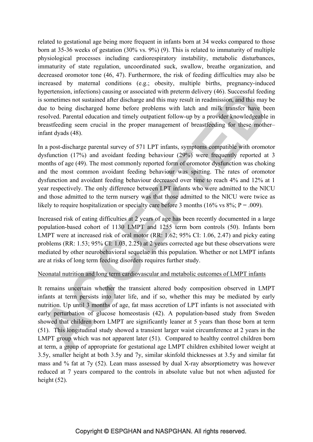related to gestational age being more frequent in infants born at 34 weeks compared to those born at 35-36 weeks of gestation (30% vs. 9%) (9). This is related to immaturity of multiple physiological processes including cardiorespiratory instability, metabolic disturbances, immaturity of state regulation, uncoordinated suck, swallow, breathe organization, and decreased oromotor tone (46, 47). Furthermore, the risk of feeding difficulties may also be increased by maternal conditions (e.g.; obesity, multiple births, pregnancy-induced hypertension, infections) causing or associated with preterm delivery (46). Successful feeding is sometimes not sustained after discharge and this may result in readmission, and this may be due to being discharged home before problems with latch and milk transfer have been resolved. Parental education and timely outpatient follow-up by a provider knowledgeable in breastfeeding seem crucial in the proper management of breastfeeding for these mother– infant dyads (48).

In a post-discharge parental survey of 571 LPT infants, symptoms compatible with oromotor dysfunction (17%) and avoidant feeding behaviour (29%) were frequently reported at 3 months of age (49). The most commonly reported form of oromotor dysfunction was choking and the most common avoidant feeding behaviour was spitting. The rates of oromotor dysfunction and avoidant feeding behaviour decreased over time to reach 4% and 12% at 1 year respectively. The only difference between LPT infants who were admitted to the NICU and those admitted to the term nursery was that those admitted to the NICU were twice as likely to require hospitalization or specialty care before 3 months (16% vs  $8\%$ ; P = .009).

Increased risk of eating difficulties at 2 years of age has been recently documented in a large population-based cohort of 1130 LMPT and 1255 term born controls (50). Infants born LMPT were at increased risk of oral motor (RR: 1.62; 95% CI: 1.06, 2.47) and picky eating problems (RR: 1.53; 95% CI: 1.03, 2.25) at 2 years corrected age but these observations were mediated by other neurobehavioral sequelae in this population. Whether or not LMPT infants are at risks of long term feeding disorders requires further study.

### Neonatal nutrition and long term cardiovascular and metabolic outcomes of LMPT infants

It remains uncertain whether the transient altered body composition observed in LMPT infants at term persists into later life, and if so, whether this may be mediated by early nutrition. Up until 3 months of age, fat mass accretion of LPT infants is not associated with early perturbation of glucose homeostasis (42). A population-based study from Sweden showed that children born LMPT are significantly leaner at 5 years than those born at term (51). This longitudinal study showed a transient larger waist circumference at 2 years in the LMPT group which was not apparent later (51). Compared to healthy control children born at term, a group of appropriate for gestational age LMPT children exhibited lower weight at 3.5y, smaller height at both 3.5y and 7y, similar skinfold thicknesses at 3.5y and similar fat mass and % fat at 7y (52). Lean mass assessed by dual X-ray absorptiometry was however reduced at 7 years compared to the controls in absolute value but not when adjusted for height  $(52)$ .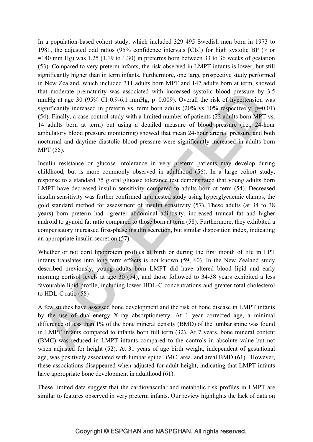In a population-based cohort study, which included 329 495 Swedish men born in 1973 to 1981, the adjusted odd ratios (95% confidence intervals [CIs]) for high systolic BP (> or  $=140$  mm Hg) was 1.25 (1.19 to 1.30) in preterms born between 33 to 36 weeks of gestation (53). Compared to very preterm infants, the risk observed in LMPT infants is lower, but still significantly higher than in term infants. Furthermore, one large prospective study performed in New Zealand, which included 311 adults born MPT and 147 adults born at term, showed that moderate prematurity was associated with increased systolic blood pressure by 3.5 mmHg at age 30 (95% CI 0.9-6.1 mmHg, p=0.009). Overall the risk of hypertension was significantly increased in preterm vs. term born adults  $(20\% \text{ vs } 10\% \text{ respectively}; \text{ p=0.01})$ (54). Finally, a case-control study with a limited number of patients (22 adults born MPT vs. 14 adults born at term) but using a detailed measure of blood pressure (i.e., 24-hour ambulatory blood pressure monitoring) showed that mean 24-hour arterial pressure and both nocturnal and daytime diastolic blood pressure were significantly increased in adults born MPT (55).

Insulin resistance or glucose intolerance in very preterm patients may develop during childhood, but is more commonly observed in adulthood (56). In a large cohort study, response to a standard 75 g oral glucose tolerance test demonstrated that young adults born LMPT have decreased insulin sensitivity compared to adults born at term (54). Decreased insulin sensitivity was further confirmed in a nested study using hyperglycaemic clamps, the gold standard method for assessment of insulin sensitivity (57). These adults (at 34 to 38 years) born preterm had greater abdominal adiposity, increased truncal fat and higher android to gynoid fat ratio compared to those born at term (58). Furthermore, they exhibited a compensatory increased first-phase insulin secretion, but similar disposition index, indicating an appropriate insulin secretion (57).

Whether or not cord lipoprotein profiles at birth or during the first month of life in LPT infants translates into long term effects is not known (59, 60). In the New Zealand study described previously, young adults born LMPT did have altered blood lipid and early morning cortisol levels at age 30 (54), and those followed to 34-38 years exhibited a less favourable lipid profile, including lower HDL-C concentrations and greater total cholesterol to HDL-C ratio (58)

A few studies have assessed bone development and the risk of bone disease in LMPT infants by the use of dual-energy X-ray absorptiometry. At 1 year corrected age, a minimal difference of less than 1% of the bone mineral density (BMD) of the lumbar spine was found in LMPT infants compared to infants born full term (32). At 7 years, bone mineral content (BMC) was reduced in LMPT infants compared to the controls in absolute value but not when adjusted for height (52). At 31 years of age birth weight, independent of gestational age, was positively associated with lumbar spine BMC, area, and areal BMD (61). However, these associations disappeared when adjusted for adult height, indicating that LMPT infants have appropriate bone development in adulthood (61).

These limited data suggest that the cardiovascular and metabolic risk profiles in LMPT are similar to features observed in very preterm infants. Our review highlights the lack of data on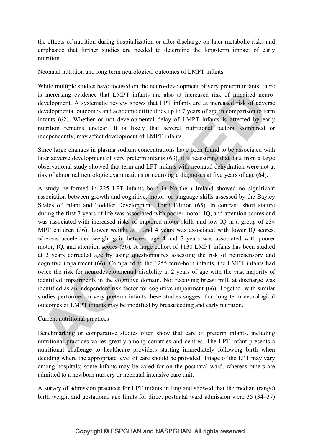the effects of nutrition during hospitalization or after discharge on later metabolic risks and emphasize that further studies are needed to determine the long-term impact of early nutrition.

#### Neonatal nutrition and long term neurological outcomes of LMPT infants

While multiple studies have focused on the neuro-development of very preterm infants, there is increasing evidence that LMPT infants are also at increased risk of impaired neurodevelopment. A systematic review shows that LPT infants are at increased risk of adverse developmental outcomes and academic difficulties up to 7 years of age in comparison to term infants (62). Whether or not developmental delay of LMPT infants is affected by early nutrition remains unclear. It is likely that several nutritional factors, combined or independently, may affect development of LMPT infants

Since large changes in plasma sodium concentrations have been found to be associated with later adverse development of very preterm infants (63), it is reassuring that data from a large observational study showed that term and LPT infants with neonatal dehydration were not at risk of abnormal neurologic examinations or neurologic diagnoses at five years of age (64).

A study performed in 225 LPT infants born in Northern Ireland showed no significant association between growth and cognitive, motor, or language skills assessed by the Bayley Scales of Infant and Toddler Development, Third Edition (65). In contrast, short stature during the first 7 years of life was associated with poorer motor, IQ, and attention scores and was associated with increased risks of impaired motor skills and low IQ in a group of 234 MPT children (36). Lower weight at 1 and 4 years was associated with lower IQ scores, whereas accelerated weight gain between age 4 and 7 years was associated with poorer motor, IQ, and attention scores (36). A large cohort of 1130 LMPT infants has been studied at 2 years corrected age by using questionnaires assessing the risk of neurosensory and cognitive impairment (66). Compared to the 1255 term-born infants, the LMPT infants had twice the risk for neurodevelopmental disability at 2 years of age with the vast majority of identified impairments in the cognitive domain. Not receiving breast milk at discharge was identified as an independent risk factor for cognitive impairment (66). Together with similar studies performed in very preterm infants these studies suggest that long term neurological outcomes of LMPT infants may be modified by breastfeeding and early nutrition.

### Current nutritional practices

Benchmarking or comparative studies often show that care of preterm infants, including nutritional practices varies greatly among countries and centres. The LPT infant presents a nutritional challenge to healthcare providers starting immediately following birth when deciding where the appropriate level of care should be provided. Triage of the LPT may vary among hospitals; some infants may be cared for on the postnatal ward, whereas others are admitted to a newborn nursery or neonatal intensive care unit.

A survey of admission practices for LPT infants in England showed that the median (range) birth weight and gestational age limits for direct postnatal ward admission were 35 (34–37)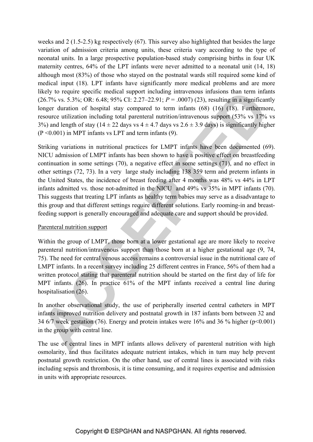weeks and 2 (1.5-2.5) kg respectively (67). This survey also highlighted that besides the large variation of admission criteria among units, these criteria vary according to the type of neonatal units. In a large prospective population-based study comprising births in four UK maternity centres, 64% of the LPT infants were never admitted to a neonatal unit (14, 18) although most (83%) of those who stayed on the postnatal wards still required some kind of medical input (18). LPT infants have significantly more medical problems and are more likely to require specific medical support including intravenous infusions than term infants (26.7% vs. 5.3%; OR: 6.48; 95% CI: 2.27–22.91; *P* = .0007) (23), resulting in a significantly longer duration of hospital stay compared to term infants (68) (16) (18). Furthermore, resource utilization including total parenteral nutrition/intravenous support (53% vs 17% vs 3%) and length of stay (14  $\pm$  22 days vs 4  $\pm$  4.7 days vs 2.6  $\pm$  3.9 days) is significantly higher (P <0.001) in MPT infants vs LPT and term infants (9).

Striking variations in nutritional practices for LMPT infants have been documented (69). NICU admission of LMPT infants has been shown to have a positive effect on breastfeeding continuation in some settings (70), a negative effect in some settings (71), and no effect in other settings (72, 73). In a very large study including 138 359 term and preterm infants in the United States, the incidence of breast feeding after 4 months was 48% vs 44% in LPT infants admitted vs. those not-admitted in the NICU and 49% vs 35% in MPT infants (70). This suggests that treating LPT infants as healthy term babies may serve as a disadvantage to this group and that different settings require different solutions. Early rooming-in and breastfeeding support is generally encouraged and adequate care and support should be provided.

### Parenteral nutrition support

Within the group of LMPT, those born at a lower gestational age are more likely to receive parenteral nutrition/intravenous support than those born at a higher gestational age (9, 74, 75). The need for central venous access remains a controversial issue in the nutritional care of LMPT infants. In a recent survey including 25 different centres in France, 56% of them had a written protocol stating that parenteral nutrition should be started on the first day of life for MPT infants. (26). In practice 61% of the MPT infants received a central line during hospitalisation (26).

In another observational study, the use of peripherally inserted central catheters in MPT infants improved nutrition delivery and postnatal growth in 187 infants born between 32 and 34 6/7 week gestation (76). Energy and protein intakes were 16% and 36 % higher (p<0.001) in the group with central line.

The use of central lines in MPT infants allows delivery of parenteral nutrition with high osmolarity, and thus facilitates adequate nutrient intakes, which in turn may help prevent postnatal growth restriction. On the other hand, use of central lines is associated with risks including sepsis and thrombosis, it is time consuming, and it requires expertise and admission in units with appropriate resources.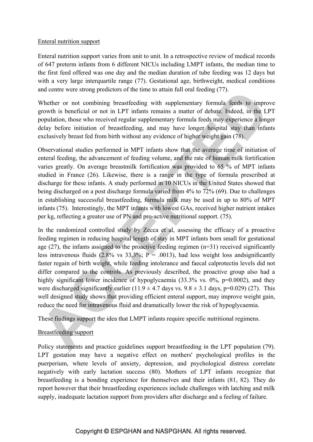#### Enteral nutrition support

Enteral nutrition support varies from unit to unit. In a retrospective review of medical records of 647 preterm infants from 6 different NICUs including LMPT infants, the median time to the first feed offered was one day and the median duration of tube feeding was 12 days but with a very large interquartile range (77). Gestational age, birthweight, medical conditions and centre were strong predictors of the time to attain full oral feeding (77).

Whether or not combining breastfeeding with supplementary formula feeds to improve growth is beneficial or not in LPT infants remains a matter of debate. Indeed, in the LPT population, those who received regular supplementary formula feeds may experience a longer delay before initiation of breastfeeding, and may have longer hospital stay than infants exclusively breast fed from birth without any evidence of higher weight gain (78).

Observational studies performed in MPT infants show that the average time of initiation of enteral feeding, the advancement of feeding volume, and the rate of human milk fortification varies greatly. On average breastmilk fortification was provided to 65 % of MPT infants studied in France (26). Likewise, there is a range in the type of formula prescribed at discharge for these infants. A study performed in 10 NICUs in the United States showed that being discharged on a post discharge formula varied from 4% to 72% (69). Due to challenges in establishing successful breastfeeding, formula milk may be used in up to 80% of MPT infants (75). Interestingly, the MPT infants with lowest GAs, received higher nutrient intakes per kg, reflecting a greater use of PN and pro-active nutritional support. (75).

In the randomized controlled study by Zecca et al, assessing the efficacy of a proactive feeding regimen in reducing hospital length of stay in MPT infants born small for gestational age (27), the infants assigned to the proactive feeding regimen (n=31) received significantly less intravenous fluids  $(2.8\% \text{ vs } 33.3\%; P = .0013)$ , had less weight loss and significantly faster regain of birth weight, while feeding intolerance and faecal calprotectin levels did not differ compared to the controls. As previously described, the proactive group also had a highly significant lower incidence of hypoglycaemia (33.3% vs. 0%, p=0.0002), and they were discharged significantly earlier (11.9  $\pm$  4.7 days vs. 9.8  $\pm$  3.1 days, p=0.029) (27). This well designed study shows that providing efficient enteral support, may improve weight gain, reduce the need for intravenous fluid and dramatically lower the risk of hypoglycaemia.

These findings support the idea that LMPT infants require specific nutritional regimens.

## Breastfeeding support

Policy statements and practice guidelines support breastfeeding in the LPT population (79). LPT gestation may have a negative effect on mothers' psychological profiles in the puerperium, where levels of anxiety, depression, and psychological distress correlate negatively with early lactation success (80). Mothers of LPT infants recognize that breastfeeding is a bonding experience for themselves and their infants (81, 82). They do report however that their breastfeeding experiences include challenges with latching and milk supply, inadequate lactation support from providers after discharge and a feeling of failure.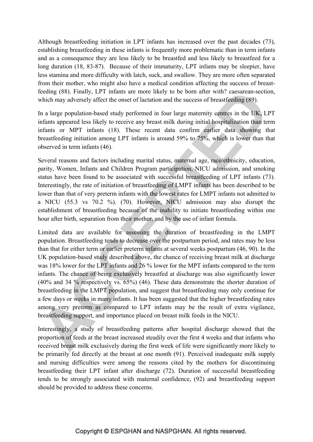Although breastfeeding initiation in LPT infants has increased over the past decades (73), establishing breastfeeding in these infants is frequently more problematic than in term infants and as a consequence they are less likely to be breastfed and less likely to breastfeed for a long duration (18, 83-87). Because of their immaturity, LPT infants may be sleepier, have less stamina and more difficulty with latch, suck, and swallow. They are more often separated from their mother, who might also have a medical condition affecting the success of breastfeeding (88). Finally, LPT infants are more likely to be born after with? caesarean-section, which may adversely affect the onset of lactation and the success of breastfeeding (89).

In a large population-based study performed in four large maternity centres in the UK, LPT infants appeared less likely to receive any breast milk during initial hospitalization than term infants or MPT infants (18). These recent data confirm earlier data showing that breastfeeding initiation among LPT infants is around 59% to 75%, which is lower than that observed in term infants (46).

Several reasons and factors including marital status, maternal age, race/ethnicity, education, parity, Women, Infants and Children Program participation, NICU admission, and smoking status have been found to be associated with successful breastfeeding of LPT infants (73). Interestingly, the rate of initiation of breastfeeding of LMPT infants has been described to be lower than that of very preterm infants with the lowest rates for LMPT infants not admitted to a NICU (55.3 vs 70.2 %). (70). However, NICU admission may also disrupt the establishment of breastfeeding because of the inability to initiate breastfeeding within one hour after birth, separation from their mother, and by the use of infant formula.

Limited data are available for assessing the duration of breastfeeding in the LMPT population. Breastfeeding tends to decrease over the postpartum period, and rates may be less than that for either term or earlier preterm infants at several weeks postpartum (46, 90). In the UK population-based study described above, the chance of receiving breast milk at discharge was 18% lower for the LPT infants and 26 % lower for the MPT infants compared to the term infants. The chance of being exclusively breastfed at discharge was also significantly lower (40% and 34 % respectively vs. 65%) (46). These data demonstrate the shorter duration of breastfeeding in the LMPT population, and suggest that breastfeeding may only continue for a few days or weeks in many infants. It has been suggested that the higher breastfeeding rates among very preterm as compared to LPT infants may be the result of extra vigilance, breastfeeding support, and importance placed on breast milk feeds in the NICU.

Interestingly, a study of breastfeeding patterns after hospital discharge showed that the proportion of feeds at the breast increased steadily over the first 4 weeks and that infants who received breast milk exclusively during the first week of life were significantly more likely to be primarily fed directly at the breast at one month (91). Perceived inadequate milk supply and nursing difficulties were among the reasons cited by the mothers for discontinuing breastfeeding their LPT infant after discharge (72). Duration of successful breastfeeding tends to be strongly associated with maternal confidence, (92) and breastfeeding support should be provided to address these concerns.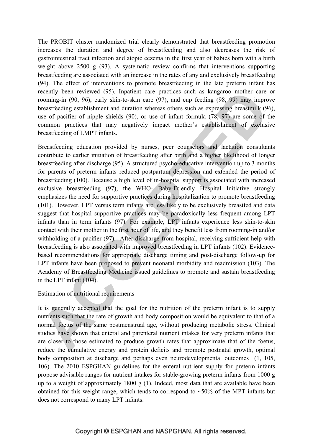The PROBIT cluster randomized trial clearly demonstrated that breastfeeding promotion increases the duration and degree of breastfeeding and also decreases the risk of gastrointestinal tract infection and atopic eczema in the first year of babies born with a birth weight above 2500 g (93). A systematic review confirms that interventions supporting breastfeeding are associated with an increase in the rates of any and exclusively breastfeeding (94). The effect of interventions to promote breastfeeding in the late preterm infant has recently been reviewed (95). Inpatient care practices such as kangaroo mother care or rooming-in (90, 96), early skin-to-skin care (97), and cup feeding (98, 99) may improve breastfeeding establishment and duration whereas others such as expressing breastmilk (96), use of pacifier of nipple shields (90), or use of infant formula (78, 97) are some of the common practices that may negatively impact mother's establishment of exclusive breastfeeding of LMPT infants.

Breastfeeding education provided by nurses, peer counselors and lactation consultants contribute to earlier initiation of breastfeeding after birth and a higher likelihood of longer breastfeeding after discharge (95). A structured psycho-educative intervention up to 3 months for parents of preterm infants reduced postpartum depression and extended the period of breastfeeding (100). Because a high level of in-hospital support is associated with increased exclusive breastfeeding (97), the WHO- Baby-Friendly Hospital Initiative strongly emphasizes the need for supportive practices during hospitalization to promote breastfeeding (101). However, LPT versus term infants are less likely to be exclusively breastfed and data suggest that hospital supportive practices may be paradoxically less frequent among LPT infants than in term infants (97). For example, LPT infants experience less skin-to-skin contact with their mother in the first hour of life, and they benefit less from rooming-in and/or withholding of a pacifier (97). After discharge from hospital, receiving sufficient help with breastfeeding is also associated with improved breastfeeding in LPT infants (102). Evidencebased recommendations for appropriate discharge timing and post-discharge follow-up for LPT infants have been proposed to prevent neonatal morbidity and readmission (103). The Academy of Breastfeeding Medicine issued guidelines to promote and sustain breastfeeding in the LPT infant (104).

### Estimation of nutritional requirements

It is generally accepted that the goal for the nutrition of the preterm infant is to supply nutrients such that the rate of growth and body composition would be equivalent to that of a normal foetus of the same postmenstrual age, without producing metabolic stress. Clinical studies have shown that enteral and parenteral nutrient intakes for very preterm infants that are closer to those estimated to produce growth rates that approximate that of the foetus, reduce the cumulative energy and protein deficits and promote postnatal growth, optimal body composition at discharge and perhaps even neurodevelopmental outcomes (1, 105, 106). The 2010 ESPGHAN guidelines for the enteral nutrient supply for preterm infants propose advisable ranges for nutrient intakes for stable-growing preterm infants from 1000 g up to a weight of approximately 1800 g (1). Indeed, most data that are available have been obtained for this weight range, which tends to correspond to  $~50\%$  of the MPT infants but does not correspond to many LPT infants.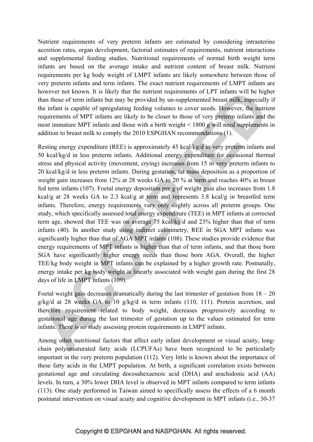Nutrient requirements of very preterm infants are estimated by considering intrauterine accretion rates, organ development, factorial estimates of requirements, nutrient interactions and supplemental feeding studies. Nutritional requirements of normal birth weight term infants are based on the average intake and nutrient content of breast milk. Nutrient requirements per kg body weight of LMPT infants are likely somewhere between those of very preterm infants and term infants. The exact nutrient requirements of LMPT infants are however not known. It is likely that the nutrient requirements of LPT infants will be higher than those of term infants but may be provided by un-supplemented breast milk, especially if the infant is capable of upregulating feeding volumes to cover needs. However, the nutrient requirements of MPT infants are likely to be closer to those of very preterm infants and the most immature MPT infants and those with a birth weight < 1800 g will need supplements in addition to breast milk to comply the 2010 ESPGHAN recommendations (1).

Resting energy expenditure (REE) is approximately 45 kcal/kg/d in very preterm infants and 50 kcal/kg/d in less preterm infants. Additional energy expenditure for occasional thermal stress and physical activity (movement, crying) increases from 15 in very preterm infants to 20 kcal/kg/d in less preterm infants. During gestation, fat mass deposition as a proportion of weight gain increases from 12% at 28 weeks GA to 20 % at term and reaches 40% in breast fed term infants (107). Foetal energy deposition per g of weight gain also increases from 1.8 kcal/g at 28 weeks GA to 2.3 kcal/g at term and represents 3.8 kcal/g in breastfed term infants. Therefore, energy requirements vary only slightly across all preterm groups. One study, which specifically assessed total energy expenditure (TEE) in MPT infants at corrected term age, showed that TEE was on average 75 kcal/kg/d and 23% higher than that of term infants (40). In another study using indirect calorimetry, REE in SGA MPT infants was significantly higher than that of AGA MPT infants (108). These studies provide evidence that energy requirements of MPT infants is higher than that of term infants, and that those born SGA have significantly higher energy needs than those born AGA. Overall, the higher TEE/kg body weight in MPT infants can be explained by a higher growth rate. Postnatally, energy intake per kg body weight is linearly associated with weight gain during the first 28 days of life in LMPT infants (109).

Foetal weight gain decreases dramatically during the last trimester of gestation from  $18 - 20$ g/kg/d at 28 weeks GA to 10 g/kg/d in term infants (110, 111). Protein accretion, and therefore requirement related to body weight, decreases progressively according to gestational age during the last trimester of gestation up to the values estimated for term infants. There is no study assessing protein requirements in LMPT infants.

Among other nutritional factors that affect early infant development or visual acuity, longchain polyunsaturated fatty acids (LCPUFAs) have been recognized to be particularly important in the very preterm population (112). Very little is known about the importance of these fatty acids in the LMPT population. At birth, a significant correlation exists between gestational age and circulating docosahexaenoic acid (DHA) and arachidonic acid (AA) levels. In turn, a 30% lower DHA level is observed in MPT infants compared to term infants (113). One study performed in Taiwan aimed to specifically assess the effects of a 6 month postnatal intervention on visual acuity and cognitive development in MPT infants (i.e., 30-37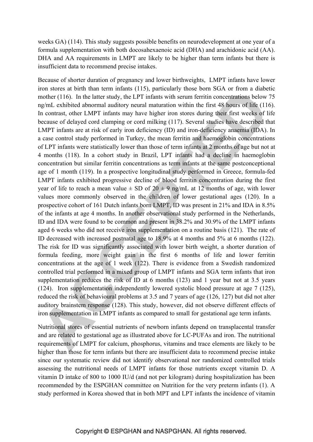weeks GA) (114). This study suggests possible benefits on neurodevelopment at one year of a formula supplementation with both docosahexaenoic acid (DHA) and arachidonic acid (AA). DHA and AA requirements in LMPT are likely to be higher than term infants but there is insufficient data to recommend precise intakes.

Because of shorter duration of pregnancy and lower birthweights, LMPT infants have lower iron stores at birth than term infants (115), particularly those born SGA or from a diabetic mother (116). In the latter study, the LPT infants with serum ferritin concentrations below 75 ng/mL exhibited abnormal auditory neural maturation within the first 48 hours of life (116). In contrast, other LMPT infants may have higher iron stores during their first weeks of life because of delayed cord clamping or cord milking (117). Several studies have described that LMPT infants are at risk of early iron deficiency (ID) and iron-deficiency anaemia (IDA). In a case control study performed in Turkey, the mean ferritin and haemoglobin concentrations of LPT infants were statistically lower than those of term infants at 2 months of age but not at 4 months (118). In a cohort study in Brazil, LPT infants had a decline in haemoglobin concentration but similar ferritin concentrations as term infants at the same postconceptional age of 1 month (119). In a prospective longitudinal study performed in Greece, formula-fed LMPT infants exhibited progressive decline of blood ferritin concentration during the first year of life to reach a mean value  $\pm$  SD of 20  $\pm$  9 ng/mL at 12 months of age, with lower values more commonly observed in the children of lower gestational ages (120). In a prospective cohort of 161 Dutch infants born LMPT, ID was present in 21% and IDA in 8.5% of the infants at age 4 months. In another observational study performed in the Netherlands, ID and IDA were found to be common and present in 38.2% and 30.9% of the LMPT infants aged 6 weeks who did not receive iron supplementation on a routine basis (121). The rate of ID decreased with increased postnatal age to 18.9% at 4 months and 5% at 6 months (122). The risk for ID was significantly associated with lower birth weight, a shorter duration of formula feeding, more weight gain in the first 6 months of life and lower ferritin concentrations at the age of 1 week (122). There is evidence from a Swedish randomized controlled trial performed in a mixed group of LMPT infants and SGA term infants that iron supplementation reduces the risk of ID at 6 months (123) and 1 year but not at 3.5 years (124). Iron supplementation independently lowered systolic blood pressure at age 7 (125), reduced the risk of behavioural problems at 3.5 and 7 years of age (126, 127) but did not alter auditory brainstem response (128). This study, however, did not observe different effects of iron supplementation in LMPT infants as compared to small for gestational age term infants.

Nutritional stores of essential nutrients of newborn infants depend on transplacental transfer and are related to gestational age as illustrated above for LC-PUFAs and iron. The nutritional requirements of LMPT for calcium, phosphorus, vitamins and trace elements are likely to be higher than those for term infants but there are insufficient data to recommend precise intake since our systematic review did not identify observational nor randomized controlled trials assessing the nutritional needs of LMPT infants for those nutrients except vitamin D. A vitamin D intake of 800 to 1000 IU/d (and not per kilogram) during hospitalization has been recommended by the ESPGHAN committee on Nutrition for the very preterm infants (1). A study performed in Korea showed that in both MPT and LPT infants the incidence of vitamin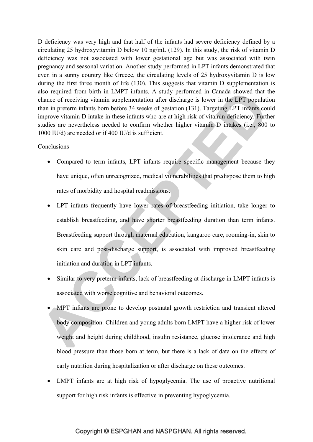D deficiency was very high and that half of the infants had severe deficiency defined by a circulating 25 hydroxyvitamin D below 10 ng/mL (129). In this study, the risk of vitamin D deficiency was not associated with lower gestational age but was associated with twin pregnancy and seasonal variation. Another study performed in LPT infants demonstrated that even in a sunny country like Greece, the circulating levels of 25 hydroxyvitamin D is low during the first three month of life (130). This suggests that vitamin D supplementation is also required from birth in LMPT infants. A study performed in Canada showed that the chance of receiving vitamin supplementation after discharge is lower in the LPT population than in preterm infants born before 34 weeks of gestation (131). Targeting LPT infants could improve vitamin D intake in these infants who are at high risk of vitamin deficiency. Further studies are nevertheless needed to confirm whether higher vitamin D intakes (i.e., 800 to 1000 IU/d) are needed or if 400 IU/d is sufficient.

#### **Conclusions**

- Compared to term infants, LPT infants require specific management because they have unique, often unrecognized, medical vulnerabilities that predispose them to high rates of morbidity and hospital readmissions.
- LPT infants frequently have lower rates of breastfeeding initiation, take longer to establish breastfeeding, and have shorter breastfeeding duration than term infants. Breastfeeding support through maternal education, kangaroo care, rooming-in, skin to skin care and post-discharge support, is associated with improved breastfeeding initiation and duration in LPT infants.
- Similar to very preterm infants, lack of breastfeeding at discharge in LMPT infants is associated with worse cognitive and behavioral outcomes.
- MPT infants are prone to develop postnatal growth restriction and transient altered body composition. Children and young adults born LMPT have a higher risk of lower weight and height during childhood, insulin resistance, glucose intolerance and high blood pressure than those born at term, but there is a lack of data on the effects of early nutrition during hospitalization or after discharge on these outcomes.
- LMPT infants are at high risk of hypoglycemia. The use of proactive nutritional support for high risk infants is effective in preventing hypoglycemia.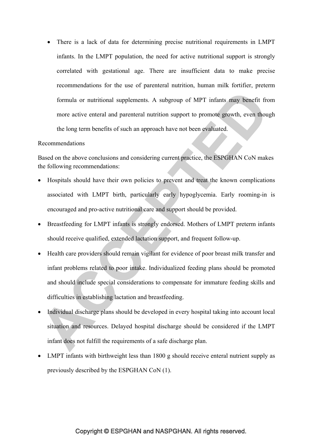• There is a lack of data for determining precise nutritional requirements in LMPT infants. In the LMPT population, the need for active nutritional support is strongly correlated with gestational age. There are insufficient data to make precise recommendations for the use of parenteral nutrition, human milk fortifier, preterm formula or nutritional supplements. A subgroup of MPT infants may benefit from more active enteral and parenteral nutrition support to promote growth, even though the long term benefits of such an approach have not been evaluated.

#### Recommendations

Based on the above conclusions and considering current practice, the ESPGHAN CoN makes the following recommendations:

- Hospitals should have their own policies to prevent and treat the known complications associated with LMPT birth, particularly early hypoglycemia. Early rooming-in is encouraged and pro-active nutritional care and support should be provided.
- Breastfeeding for LMPT infants is strongly endorsed. Mothers of LMPT preterm infants should receive qualified, extended lactation support, and frequent follow-up.
- Health care providers should remain vigilant for evidence of poor breast milk transfer and infant problems related to poor intake. Individualized feeding plans should be promoted and should include special considerations to compensate for immature feeding skills and difficulties in establishing lactation and breastfeeding.
- Individual discharge plans should be developed in every hospital taking into account local situation and resources. Delayed hospital discharge should be considered if the LMPT infant does not fulfill the requirements of a safe discharge plan.
- LMPT infants with birthweight less than 1800 g should receive enteral nutrient supply as previously described by the ESPGHAN CoN (1).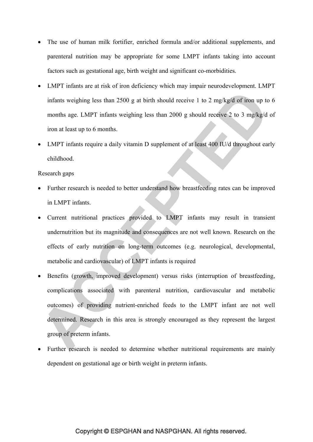- The use of human milk fortifier, enriched formula and/or additional supplements, and parenteral nutrition may be appropriate for some LMPT infants taking into account factors such as gestational age, birth weight and significant co-morbidities.
- LMPT infants are at risk of iron deficiency which may impair neurodevelopment. LMPT infants weighing less than 2500 g at birth should receive 1 to 2 mg/kg/d of iron up to 6 months age. LMPT infants weighing less than 2000 g should receive 2 to 3 mg/kg/d of iron at least up to 6 months.
- LMPT infants require a daily vitamin D supplement of at least 400 IU/d throughout early childhood.

#### Research gaps

- Further research is needed to better understand how breastfeeding rates can be improved in LMPT infants.
- Current nutritional practices provided to LMPT infants may result in transient undernutrition but its magnitude and consequences are not well known. Research on the effects of early nutrition on long-term outcomes (e.g. neurological, developmental, metabolic and cardiovascular) of LMPT infants is required
- Benefits (growth, improved development) versus risks (interruption of breastfeeding, complications associated with parenteral nutrition, cardiovascular and metabolic outcomes) of providing nutrient-enriched feeds to the LMPT infant are not well determined. Research in this area is strongly encouraged as they represent the largest group of preterm infants.
- Further research is needed to determine whether nutritional requirements are mainly dependent on gestational age or birth weight in preterm infants.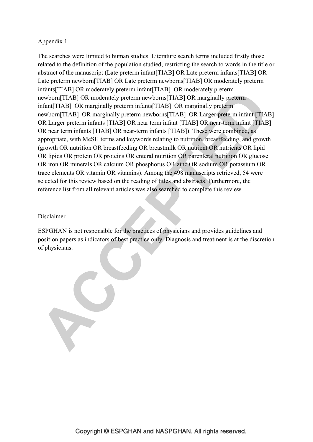### Appendix 1

The searches were limited to human studies. Literature search terms included firstly those related to the definition of the population studied, restricting the search to words in the title or abstract of the manuscript (Late preterm infant[TIAB] OR Late preterm infants[TIAB] OR Late preterm newborn[TIAB] OR Late preterm newborns[TIAB] OR moderately preterm infants[TIAB] OR moderately preterm infant[TIAB] OR moderately preterm newborn[TIAB] OR moderately preterm newborns[TIAB] OR marginally preterm infant[TIAB] OR marginally preterm infants[TIAB] OR marginally preterm newborn[TIAB] OR marginally preterm newborns[TIAB] OR Larger preterm infant [TIAB] OR Larger preterm infants [TIAB] OR near term infant [TIAB] OR near-term infant [TIAB] OR near term infants [TIAB] OR near-term infants [TIAB]). These were combined, as appropriate, with MeSH terms and keywords relating to nutrition, breastfeeding, and growth (growth OR nutrition OR breastfeeding OR breastmilk OR nutrient OR nutrients OR lipid OR lipids OR protein OR proteins OR enteral nutrition OR parenteral nutrition OR glucose OR iron OR minerals OR calcium OR phosphorus OR zinc OR sodium OR potassium OR trace elements OR vitamin OR vitamins). Among the 498 manuscripts retrieved, 54 were selected for this review based on the reading of titles and abstracts. Furthermore, the reference list from all relevant articles was also searched to complete this review.

#### Disclaimer

ESPGHAN is not responsible for the practices of physicians and provides guidelines and position papers as indicators of best practice only. Diagnosis and treatment is at the discretion of physicians.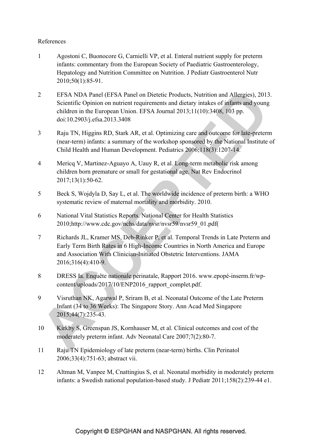### References

- 1 Agostoni C, Buonocore G, Carnielli VP, et al. Enteral nutrient supply for preterm infants: commentary from the European Society of Paediatric Gastroenterology, Hepatology and Nutrition Committee on Nutrition. J Pediatr Gastroenterol Nutr 2010;50(1):85-91.
- 2 EFSA NDA Panel (EFSA Panel on Dietetic Products, Nutrition and Allergies), 2013. Scientific Opinion on nutrient requirements and dietary intakes of infants and young children in the European Union. EFSA Journal 2013;11(10):3408, 103 pp. doi:10.2903/j.efsa.2013.3408
- 3 Raju TN, Higgins RD, Stark AR, et al. Optimizing care and outcome for late-preterm (near-term) infants: a summary of the workshop sponsored by the National Institute of Child Health and Human Development. Pediatrics 2006;118(3):1207-14.
- 4 Mericq V, Martinez-Aguayo A, Uauy R, et al. Long-term metabolic risk among children born premature or small for gestational age. Nat Rev Endocrinol 2017;13(1):50-62.
- 5 Beck S, Wojdyla D, Say L, et al. The worldwide incidence of preterm birth: a WHO systematic review of maternal mortality and morbidity. 2010.
- 6 National Vital Statistics Reports. National Center for Health Statistics 2010;http://www.cdc.gov/nchs/data/nvsr/nvsr59/nvsr59\_01.pdf(
- 7 Richards JL, Kramer MS, Deb-Rinker P, et al. Temporal Trends in Late Preterm and Early Term Birth Rates in 6 High-Income Countries in North America and Europe and Association With Clinician-Initiated Obstetric Interventions. JAMA 2016;316(4):410-9.
- 8 DRESS Ia. Enquête nationale périnatale, Rapport 2016. www.epopé-inserm.fr/wpcontent/uploads/2017/10/ENP2016\_rapport\_complet.pdf.
- 9 Visruthan NK, Agarwal P, Sriram B, et al. Neonatal Outcome of the Late Preterm Infant (34 to 36 Weeks): The Singapore Story. Ann Acad Med Singapore 2015;44(7):235-43.
- 10 Kirkby S, Greenspan JS, Kornhauser M, et al. Clinical outcomes and cost of the moderately preterm infant. Adv Neonatal Care 2007;7(2):80-7.
- 11 Raju TN Epidemiology of late preterm (near-term) births. Clin Perinatol 2006;33(4):751-63; abstract vii.
- 12 Altman M, Vanpee M, Cnattingius S, et al. Neonatal morbidity in moderately preterm infants: a Swedish national population-based study. J Pediatr 2011;158(2):239-44 e1.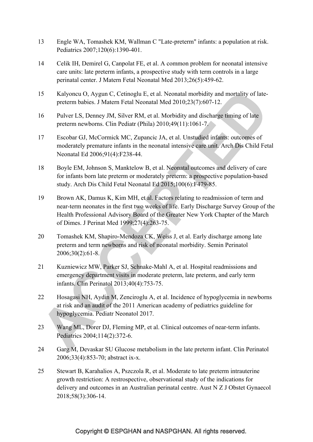- 13 Engle WA, Tomashek KM, Wallman C "Late-preterm" infants: a population at risk. Pediatrics 2007;120(6):1390-401.
- 14 Celik IH, Demirel G, Canpolat FE, et al. A common problem for neonatal intensive care units: late preterm infants, a prospective study with term controls in a large perinatal center. J Matern Fetal Neonatal Med 2013;26(5):459-62.
- 15 Kalyoncu O, Aygun C, Cetinoglu E, et al. Neonatal morbidity and mortality of latepreterm babies. J Matern Fetal Neonatal Med 2010;23(7):607-12.
- 16 Pulver LS, Denney JM, Silver RM, et al. Morbidity and discharge timing of late preterm newborns. Clin Pediatr (Phila) 2010;49(11):1061-7.
- 17 Escobar GJ, McCormick MC, Zupancic JA, et al. Unstudied infants: outcomes of moderately premature infants in the neonatal intensive care unit. Arch Dis Child Fetal Neonatal Ed 2006;91(4):F238-44.
- 18 Boyle EM, Johnson S, Manktelow B, et al. Neonatal outcomes and delivery of care for infants born late preterm or moderately preterm: a prospective population-based study. Arch Dis Child Fetal Neonatal Ed 2015;100(6):F479-85.
- 19 Brown AK, Damus K, Kim MH, et al. Factors relating to readmission of term and near-term neonates in the first two weeks of life. Early Discharge Survey Group of the Health Professional Advisory Board of the Greater New York Chapter of the March of Dimes. J Perinat Med 1999;27(4):263-75.
- 20 Tomashek KM, Shapiro-Mendoza CK, Weiss J, et al. Early discharge among late preterm and term newborns and risk of neonatal morbidity. Semin Perinatol 2006;30(2):61-8.
- 21 Kuzniewicz MW, Parker SJ, Schnake-Mahl A, et al. Hospital readmissions and emergency department visits in moderate preterm, late preterm, and early term infants. Clin Perinatol 2013;40(4):753-75.
- 22 Hosagasi NH, Aydin M, Zenciroglu A, et al. Incidence of hypoglycemia in newborns at risk and an audit of the 2011 American academy of pediatrics guideline for hypoglycemia. Pediatr Neonatol 2017.
- 23 Wang ML, Dorer DJ, Fleming MP, et al. Clinical outcomes of near-term infants. Pediatrics 2004;114(2):372-6.
- 24 Garg M, Devaskar SU Glucose metabolism in the late preterm infant. Clin Perinatol 2006;33(4):853-70; abstract ix-x.
- 25 Stewart B, Karahalios A, Pszczola R, et al. Moderate to late preterm intrauterine growth restriction: A restrospective, observational study of the indications for delivery and outcomes in an Australian perinatal centre. Aust N Z J Obstet Gynaecol 2018;58(3):306-14.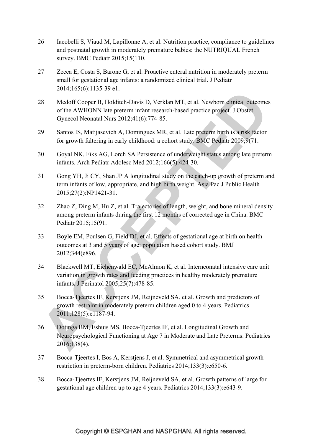- 26 Iacobelli S, Viaud M, Lapillonne A, et al. Nutrition practice, compliance to guidelines and postnatal growth in moderately premature babies: the NUTRIQUAL French survey. BMC Pediatr 2015;15(110.
- 27 Zecca E, Costa S, Barone G, et al. Proactive enteral nutrition in moderately preterm small for gestational age infants: a randomized clinical trial. J Pediatr 2014;165(6):1135-39 e1.
- 28 Medoff Cooper B, Holditch-Davis D, Verklan MT, et al. Newborn clinical outcomes of the AWHONN late preterm infant research-based practice project. J Obstet Gynecol Neonatal Nurs 2012;41(6):774-85.
- 29 Santos IS, Matijasevich A, Domingues MR, et al. Late preterm birth is a risk factor for growth faltering in early childhood: a cohort study. BMC Pediatr 2009;9(71.
- 30 Goyal NK, Fiks AG, Lorch SA Persistence of underweight status among late preterm infants. Arch Pediatr Adolesc Med 2012;166(5):424-30.
- 31 Gong YH, Ji CY, Shan JP A longitudinal study on the catch-up growth of preterm and term infants of low, appropriate, and high birth weight. Asia Pac J Public Health 2015;27(2):NP1421-31.
- 32 Zhao Z, Ding M, Hu Z, et al. Trajectories of length, weight, and bone mineral density among preterm infants during the first 12 months of corrected age in China. BMC Pediatr 2015;15(91.
- 33 Boyle EM, Poulsen G, Field DJ, et al. Effects of gestational age at birth on health outcomes at 3 and 5 years of age: population based cohort study. BMJ 2012;344(e896.
- 34 Blackwell MT, Eichenwald EC, McAlmon K, et al. Interneonatal intensive care unit variation in growth rates and feeding practices in healthy moderately premature infants. J Perinatol 2005;25(7):478-85.
- 35 Bocca-Tjeertes IF, Kerstjens JM, Reijneveld SA, et al. Growth and predictors of growth restraint in moderately preterm children aged 0 to 4 years. Pediatrics 2011;128(5):e1187-94.
- 36 Dotinga BM, Eshuis MS, Bocca-Tjeertes IF, et al. Longitudinal Growth and Neuropsychological Functioning at Age 7 in Moderate and Late Preterms. Pediatrics 2016;138(4).
- 37 Bocca-Tjeertes I, Bos A, Kerstjens J, et al. Symmetrical and asymmetrical growth restriction in preterm-born children. Pediatrics 2014;133(3):e650-6.
- 38 Bocca-Tjeertes IF, Kerstjens JM, Reijneveld SA, et al. Growth patterns of large for gestational age children up to age 4 years. Pediatrics 2014;133(3):e643-9.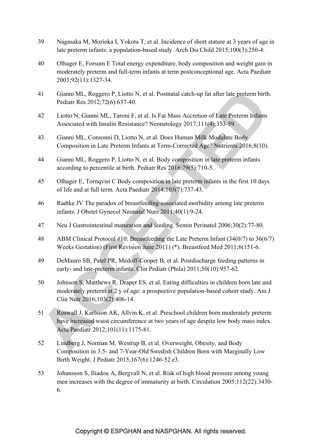- 39 Nagasaka M, Morioka I, Yokota T, et al. Incidence of short stature at 3 years of age in late preterm infants: a population-based study. Arch Dis Child 2015;100(3):250-4.
- 40 Olhager E, Forsum E Total energy expenditure, body composition and weight gain in moderately preterm and full-term infants at term postconceptional age. Acta Paediatr 2003;92(11):1327-34.
- 41 Gianni ML, Roggero P, Liotto N, et al. Postnatal catch-up fat after late preterm birth. Pediatr Res 2012;72(6):637-40.
- 42 Liotto N, Gianni ML, Taroni F, et al. Is Fat Mass Accretion of Late Preterm Infants Associated with Insulin Resistance? Neonatology 2017;111(4):353-59.
- 43 Gianni ML, Consonni D, Liotto N, et al. Does Human Milk Modulate Body Composition in Late Preterm Infants at Term-Corrected Age? Nutrients 2016;8(10).
- 44 Gianni ML, Roggero P, Liotto N, et al. Body composition in late preterm infants according to percentile at birth. Pediatr Res 2016;79(5):710-5.
- 45 Olhager E, Tornqvist C Body composition in late preterm infants in the first 10 days of life and at full term. Acta Paediatr 2014;103(7):737-43.
- 46 Radtke JV The paradox of breastfeeding-associated morbidity among late preterm infants. J Obstet Gynecol Neonatal Nurs 2011;40(1):9-24.
- 47 Neu J Gastrointestinal maturation and feeding. Semin Perinatol 2006;30(2):77-80.
- 48 ABM Clinical Protocol #10: Breastfeeding the Late Preterm Infant (34(0/7) to 36(6/7) Weeks Gestation) (First Revision June 2011) (\*). Breastfeed Med 2011;6(151-6.
- 49 DeMauro SB, Patel PR, Medoff-Cooper B, et al. Postdischarge feeding patterns in early- and late-preterm infants. Clin Pediatr (Phila) 2011;50(10):957-62.
- 50 Johnson S, Matthews R, Draper ES, et al. Eating difficulties in children born late and moderately preterm at 2 y of age: a prospective population-based cohort study. Am J Clin Nutr 2016;103(2):406-14.
- 51 Roswall J, Karlsson AK, Allvin K, et al. Preschool children born moderately preterm have increased waist circumference at two years of age despite low body mass index. Acta Paediatr 2012;101(11):1175-81.
- 52 Lindberg J, Norman M, Westrup B, et al. Overweight, Obesity, and Body Composition in 3.5- and 7-Year-Old Swedish Children Born with Marginally Low Birth Weight. J Pediatr 2015;167(6):1246-52 e3.
- 53 Johansson S, Iliadou A, Bergvall N, et al. Risk of high blood pressure among young men increases with the degree of immaturity at birth. Circulation 2005;112(22):3430- 6.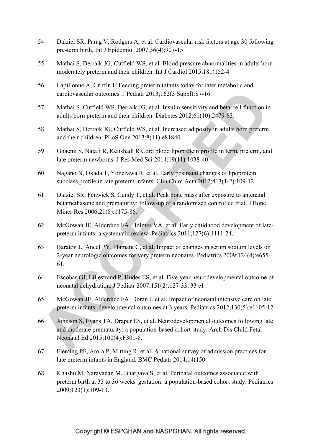- 54 Dalziel SR, Parag V, Rodgers A, et al. Cardiovascular risk factors at age 30 following pre-term birth. Int J Epidemiol 2007;36(4):907-15.
- 55 Mathai S, Derraik JG, Cutfield WS, et al. Blood pressure abnormalities in adults born moderately preterm and their children. Int J Cardiol 2015;181(152-4.
- 56 Lapillonne A, Griffin IJ Feeding preterm infants today for later metabolic and cardiovascular outcomes. J Pediatr 2013;162(3 Suppl):S7-16.
- 57 Mathai S, Cutfield WS, Derraik JG, et al. Insulin sensitivity and beta-cell function in adults born preterm and their children. Diabetes 2012;61(10):2479-83.
- 58 Mathai S, Derraik JG, Cutfield WS, et al. Increased adiposity in adults born preterm and their children. PLoS One 2013;8(11):e81840.
- 59 Ghaemi S, Najafi R, Kelishadi R Cord blood lipoprotein profile in term, preterm, and late preterm newborns. J Res Med Sci 2014;19(11):1038-40.
- 60 Nagano N, Okada T, Yonezawa R, et al. Early postnatal changes of lipoprotein subclass profile in late preterm infants. Clin Chim Acta 2012;413(1-2):109-12.
- 61 Dalziel SR, Fenwick S, Cundy T, et al. Peak bone mass after exposure to antenatal betamethasone and prematurity: follow-up of a randomized controlled trial. J Bone Miner Res 2006;21(8):1175-86.
- 62 McGowan JE, Alderdice FA, Holmes VA, et al. Early childhood development of latepreterm infants: a systematic review. Pediatrics 2011;127(6):1111-24.
- 63 Baraton L, Ancel PY, Flamant C, et al. Impact of changes in serum sodium levels on 2-year neurologic outcomes for very preterm neonates. Pediatrics 2009;124(4):e655- 61.
- 64 Escobar GJ, Liljestrand P, Hudes ES, et al. Five-year neurodevelopmental outcome of neonatal dehydration. J Pediatr 2007;151(2):127-33, 33 e1.
- 65 McGowan JE, Alderdice FA, Doran J, et al. Impact of neonatal intensive care on late preterm infants: developmental outcomes at 3 years. Pediatrics 2012;130(5):e1105-12.
- 66 Johnson S, Evans TA, Draper ES, et al. Neurodevelopmental outcomes following late and moderate prematurity: a population-based cohort study. Arch Dis Child Fetal Neonatal Ed 2015;100(4):F301-8.
- 67 Fleming PF, Arora P, Mitting R, et al. A national survey of admission practices for late preterm infants in England. BMC Pediatr 2014;14(150.
- 68 Khashu M, Narayanan M, Bhargava S, et al. Perinatal outcomes associated with preterm birth at 33 to 36 weeks' gestation: a population-based cohort study. Pediatrics 2009;123(1):109-13.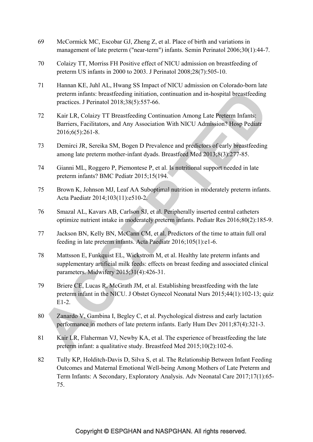- 69 McCormick MC, Escobar GJ, Zheng Z, et al. Place of birth and variations in management of late preterm ("near-term") infants. Semin Perinatol 2006;30(1):44-7.
- 70 Colaizy TT, Morriss FH Positive effect of NICU admission on breastfeeding of preterm US infants in 2000 to 2003. J Perinatol 2008;28(7):505-10.
- 71 Hannan KE, Juhl AL, Hwang SS Impact of NICU admission on Colorado-born late preterm infants: breastfeeding initiation, continuation and in-hospital breastfeeding practices. J Perinatol 2018;38(5):557-66.
- 72 Kair LR, Colaizy TT Breastfeeding Continuation Among Late Preterm Infants: Barriers, Facilitators, and Any Association With NICU Admission? Hosp Pediatr 2016;6(5):261-8.
- 73 Demirci JR, Sereika SM, Bogen D Prevalence and predictors of early breastfeeding among late preterm mother-infant dyads. Breastfeed Med 2013;8(3):277-85.
- 74 Gianni ML, Roggero P, Piemontese P, et al. Is nutritional support needed in late preterm infants? BMC Pediatr 2015;15(194.
- 75 Brown K, Johnson MJ, Leaf AA Suboptimal nutrition in moderately preterm infants. Acta Paediatr 2014;103(11):e510-2.
- 76 Smazal AL, Kavars AB, Carlson SJ, et al. Peripherally inserted central catheters optimize nutrient intake in moderately preterm infants. Pediatr Res 2016;80(2):185-9.
- 77 Jackson BN, Kelly BN, McCann CM, et al. Predictors of the time to attain full oral feeding in late preterm infants. Acta Paediatr 2016;105(1):e1-6.
- 78 Mattsson E, Funkquist EL, Wickstrom M, et al. Healthy late preterm infants and supplementary artificial milk feeds: effects on breast feeding and associated clinical parameters. Midwifery 2015;31(4):426-31.
- 79 Briere CE, Lucas R, McGrath JM, et al. Establishing breastfeeding with the late preterm infant in the NICU. J Obstet Gynecol Neonatal Nurs 2015;44(1):102-13; quiz E1-2.
- 80 Zanardo V, Gambina I, Begley C, et al. Psychological distress and early lactation performance in mothers of late preterm infants. Early Hum Dev 2011;87(4):321-3.
- 81 Kair LR, Flaherman VJ, Newby KA, et al. The experience of breastfeeding the late preterm infant: a qualitative study. Breastfeed Med 2015;10(2):102-6.
- 82 Tully KP, Holditch-Davis D, Silva S, et al. The Relationship Between Infant Feeding Outcomes and Maternal Emotional Well-being Among Mothers of Late Preterm and Term Infants: A Secondary, Exploratory Analysis. Adv Neonatal Care 2017;17(1):65- 75.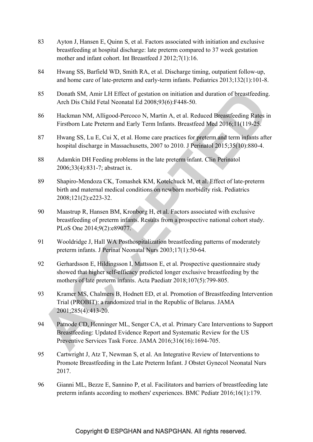- 83 Ayton J, Hansen E, Quinn S, et al. Factors associated with initiation and exclusive breastfeeding at hospital discharge: late preterm compared to 37 week gestation mother and infant cohort. Int Breastfeed J 2012;7(1):16.
- 84 Hwang SS, Barfield WD, Smith RA, et al. Discharge timing, outpatient follow-up, and home care of late-preterm and early-term infants. Pediatrics 2013;132(1):101-8.
- 85 Donath SM, Amir LH Effect of gestation on initiation and duration of breastfeeding. Arch Dis Child Fetal Neonatal Ed 2008;93(6):F448-50.
- 86 Hackman NM, Alligood-Percoco N, Martin A, et al. Reduced Breastfeeding Rates in Firstborn Late Preterm and Early Term Infants. Breastfeed Med 2016;11(119-25.
- 87 Hwang SS, Lu E, Cui X, et al. Home care practices for preterm and term infants after hospital discharge in Massachusetts, 2007 to 2010. J Perinatol 2015;35(10):880-4.
- 88 Adamkin DH Feeding problems in the late preterm infant. Clin Perinatol 2006;33(4):831-7; abstract ix.
- 89 Shapiro-Mendoza CK, Tomashek KM, Kotelchuck M, et al. Effect of late-preterm birth and maternal medical conditions on newborn morbidity risk. Pediatrics 2008;121(2):e223-32.
- 90 Maastrup R, Hansen BM, Kronborg H, et al. Factors associated with exclusive breastfeeding of preterm infants. Results from a prospective national cohort study. PLoS One 2014;9(2):e89077.
- 91 Wooldridge J, Hall WA Posthospitalization breastfeeding patterns of moderately preterm infants. J Perinat Neonatal Nurs 2003;17(1):50-64.
- 92 Gerhardsson E, Hildingsson I, Mattsson E, et al. Prospective questionnaire study showed that higher self-efficacy predicted longer exclusive breastfeeding by the mothers of late preterm infants. Acta Paediatr 2018;107(5):799-805.
- 93 Kramer MS, Chalmers B, Hodnett ED, et al. Promotion of Breastfeeding Intervention Trial (PROBIT): a randomized trial in the Republic of Belarus. JAMA 2001;285(4):413-20.
- 94 Patnode CD, Henninger ML, Senger CA, et al. Primary Care Interventions to Support Breastfeeding: Updated Evidence Report and Systematic Review for the US Preventive Services Task Force. JAMA 2016;316(16):1694-705.
- 95 Cartwright J, Atz T, Newman S, et al. An Integrative Review of Interventions to Promote Breastfeeding in the Late Preterm Infant. J Obstet Gynecol Neonatal Nurs 2017.
- 96 Gianni ML, Bezze E, Sannino P, et al. Facilitators and barriers of breastfeeding late preterm infants according to mothers' experiences. BMC Pediatr 2016;16(1):179.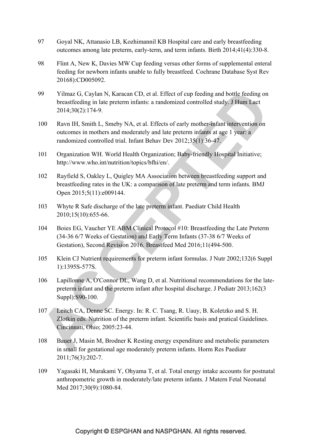- 97 Goyal NK, Attanasio LB, Kozhimannil KB Hospital care and early breastfeeding outcomes among late preterm, early-term, and term infants. Birth 2014;41(4):330-8.
- 98 Flint A, New K, Davies MW Cup feeding versus other forms of supplemental enteral feeding for newborn infants unable to fully breastfeed. Cochrane Database Syst Rev 20168):CD005092.
- 99 Yilmaz G, Caylan N, Karacan CD, et al. Effect of cup feeding and bottle feeding on breastfeeding in late preterm infants: a randomized controlled study. J Hum Lact 2014;30(2):174-9.
- 100 Ravn IH, Smith L, Smeby NA, et al. Effects of early mother-infant intervention on outcomes in mothers and moderately and late preterm infants at age 1 year: a randomized controlled trial. Infant Behav Dev 2012;35(1):36-47.
- 101 Organization WH. World Health Organization; Baby-friendly Hospital Initiative; http://www.who.int/nutrition/topics/bfhi/en/.
- 102 Rayfield S, Oakley L, Quigley MA Association between breastfeeding support and breastfeeding rates in the UK: a comparison of late preterm and term infants. BMJ Open 2015;5(11):e009144.
- 103 Whyte R Safe discharge of the late preterm infant. Paediatr Child Health 2010;15(10):655-66.
- 104 Boies EG, Vaucher YE ABM Clinical Protocol #10: Breastfeeding the Late Preterm (34-36 6/7 Weeks of Gestation) and Early Term Infants (37-38 6/7 Weeks of Gestation), Second Revision 2016. Breastfeed Med 2016;11(494-500.
- 105 Klein CJ Nutrient requirements for preterm infant formulas. J Nutr 2002;132(6 Suppl 1):1395S-577S.
- 106 Lapillonne A, O'Connor DL, Wang D, et al. Nutritional recommendations for the latepreterm infant and the preterm infant after hospital discharge. J Pediatr 2013;162(3 Suppl):S90-100.
- 107 Leitch CA, Denne SC. Energy. In: R. C. Tsang, R. Uauy, B. Koletzko and S. H. Zlotkin eds. Nutrition of the preterm infant. Scientific basis and pratical Guidelines. Cincinnati, Ohio; 2005:23-44.
- 108 Bauer J, Masin M, Brodner K Resting energy expenditure and metabolic parameters in small for gestational age moderately preterm infants. Horm Res Paediatr 2011;76(3):202-7.
- 109 Yagasaki H, Murakami Y, Ohyama T, et al. Total energy intake accounts for postnatal anthropometric growth in moderately/late preterm infants. J Matern Fetal Neonatal Med 2017;30(9):1080-84.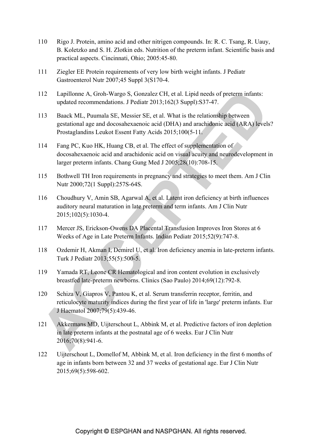- 110 Rigo J. Protein, amino acid and other nitrigen compounds. In: R. C. Tsang, R. Uauy, B. Koletzko and S. H. Zlotkin eds. Nutrition of the preterm infant. Scientific basis and practical aspects. Cincinnati, Ohio; 2005:45-80.
- 111 Ziegler EE Protein requirements of very low birth weight infants. J Pediatr Gastroenterol Nutr 2007;45 Suppl 3(S170-4.
- 112 Lapillonne A, Groh-Wargo S, Gonzalez CH, et al. Lipid needs of preterm infants: updated recommendations. J Pediatr 2013;162(3 Suppl):S37-47.
- 113 Baack ML, Puumala SE, Messier SE, et al. What is the relationship between gestational age and docosahexaenoic acid (DHA) and arachidonic acid (ARA) levels? Prostaglandins Leukot Essent Fatty Acids 2015;100(5-11.
- 114 Fang PC, Kuo HK, Huang CB, et al. The effect of supplementation of docosahexaenoic acid and arachidonic acid on visual acuity and neurodevelopment in larger preterm infants. Chang Gung Med J 2005;28(10):708-15.
- 115 Bothwell TH Iron requirements in pregnancy and strategies to meet them. Am J Clin Nutr 2000;72(1 Suppl):257S-64S.
- 116 Choudhury V, Amin SB, Agarwal A, et al. Latent iron deficiency at birth influences auditory neural maturation in late preterm and term infants. Am J Clin Nutr 2015;102(5):1030-4.
- 117 Mercer JS, Erickson-Owens DA Placental Transfusion Improves Iron Stores at 6 Weeks of Age in Late Preterm Infants. Indian Pediatr 2015;52(9):747-8.
- 118 Ozdemir H, Akman I, Demirel U, et al. Iron deficiency anemia in late-preterm infants. Turk J Pediatr 2013;55(5):500-5.
- 119 Yamada RT, Leone CR Hematological and iron content evolution in exclusively breastfed late-preterm newborns. Clinics (Sao Paulo) 2014;69(12):792-8.
- 120 Schiza V, Giapros V, Pantou K, et al. Serum transferrin receptor, ferritin, and reticulocyte maturity indices during the first year of life in 'large' preterm infants. Eur J Haematol 2007;79(5):439-46.
- 121 Akkermans MD, Uijterschout L, Abbink M, et al. Predictive factors of iron depletion in late preterm infants at the postnatal age of 6 weeks. Eur J Clin Nutr 2016;70(8):941-6.
- 122 Uijterschout L, Domellof M, Abbink M, et al. Iron deficiency in the first 6 months of age in infants born between 32 and 37 weeks of gestational age. Eur J Clin Nutr 2015;69(5):598-602.